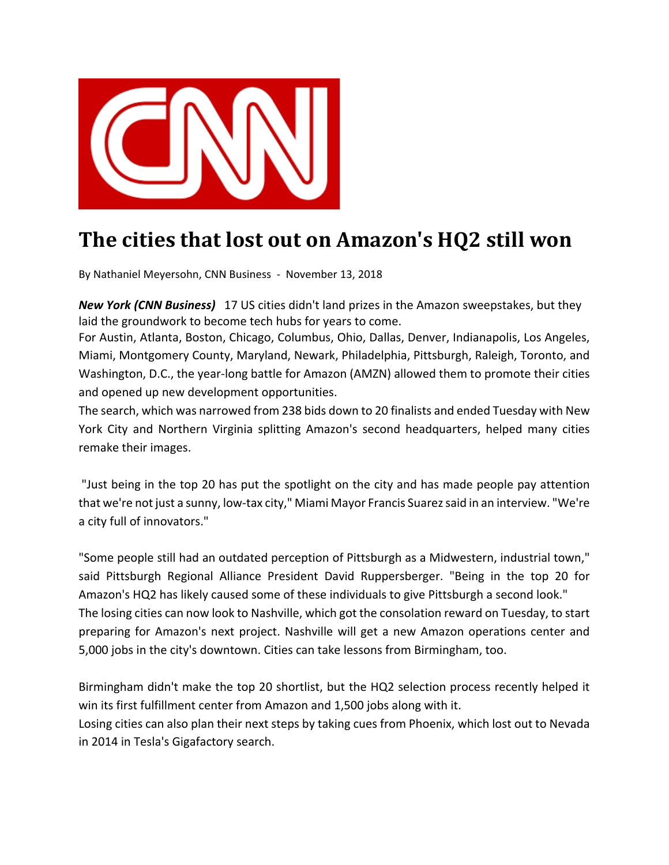

## **The cities that lost out on Amazon's HQ2 still won**

By Nathaniel Meyersohn, CNN Business ‐ November 13, 2018

*New York (CNN Business)* 17 US cities didn't land prizes in the Amazon sweepstakes, but they laid the groundwork to become tech hubs for years to come.

For Austin, Atlanta, Boston, Chicago, Columbus, Ohio, Dallas, Denver, Indianapolis, Los Angeles, Miami, Montgomery County, Maryland, Newark, Philadelphia, Pittsburgh, Raleigh, Toronto, and Washington, D.C., the year-long battle for Amazon (AMZN) allowed them to promote their cities and opened up new development opportunities.

The search, which was narrowed from 238 bids down to 20 finalists and ended Tuesday with New York City and Northern Virginia splitting Amazon's second headquarters, helped many cities remake their images.

"Just being in the top 20 has put the spotlight on the city and has made people pay attention that we're not just a sunny, low‐tax city," Miami Mayor Francis Suarezsaid in an interview. "We're a city full of innovators."

"Some people still had an outdated perception of Pittsburgh as a Midwestern, industrial town," said Pittsburgh Regional Alliance President David Ruppersberger. "Being in the top 20 for Amazon's HQ2 has likely caused some of these individuals to give Pittsburgh a second look." The losing cities can now look to Nashville, which got the consolation reward on Tuesday, to start preparing for Amazon's next project. Nashville will get a new Amazon operations center and 5,000 jobs in the city's downtown. Cities can take lessons from Birmingham, too.

Birmingham didn't make the top 20 shortlist, but the HQ2 selection process recently helped it win its first fulfillment center from Amazon and 1,500 jobs along with it. Losing cities can also plan their next steps by taking cues from Phoenix, which lost out to Nevada in 2014 in Tesla's Gigafactory search.